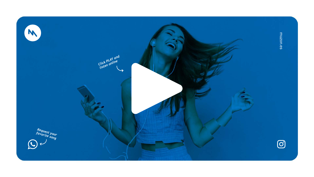

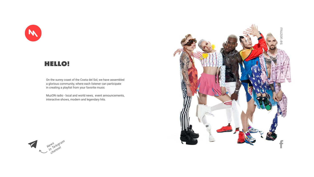On the sunny coast of the Costa del Sol, we have assembled a glorious community, where each listener can participate in creating a playlist from your favorite music

MuzON radio - local and world news, event announcements, interactive shows, modern and legendary hits.







## HELLO!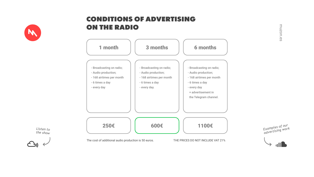*Examples of our advertising work*



*Listen to the show*



## CONDITIONS OF ADVERTISING ON THE RADIO